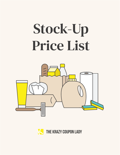<span id="page-0-0"></span>

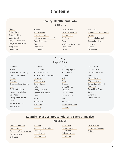# **Contents**

#### **[Beauty, Health, and Baby](#page-2-0)**

Pages 3–12

[Diapers](#page-3-0) [Baby Wipes](#page-3-0) [Baby Food Jars](#page-3-0) [Baby Cereal](#page-3-0) [Baby Food Pouches](#page-3-0) [Baby/Kids Body Care](#page-3-0) [Body Wash](#page-4-0) [Deodorant](#page-4-0)

- [Shave Gel](#page-5-0) [Intimate Care](#page-5-0) [Feminine Products](#page-5-0) [Hairspray, Mousse, and Gel](#page-6-0) [Facial Cleansers](#page-6-0) [Pet](#page-6-0) [Toothpaste](#page-7-0) [Mouthwash](#page-7-0)
- [Denture Cream](#page-7-0) [Denture Cleansers](#page-7-0) [Toothbrushes](#page-7-0) [Bar Soap](#page-8-0) [Razors](#page-8-0) [Shampoo, Conditioner](#page-8-0) [Hand Soap](#page-9-0) [Lotion](#page-9-0)
- [Hair Color](#page-9-0) [Premium Styling Products](#page-10-0) [Lipstick](#page-10-0) [Balm and Chapstick](#page-10-0) [Eyeshadow Singles](#page-10-0) [Mascara](#page-11-0) [Eyeliner](#page-11-0) [Foundation](#page-11-0)

#### **[Grocery](#page-12-0)**

#### Pages 13–25

- [Produce](#page-13-0) [Breads](#page-13-0) [Breadcrumbs/Stuffing](#page-13-0) [Peanut Butter/Jelly](#page-13-0) [Cookies](#page-13-0) **[Crackers](#page-13-0)** Breakfast Bars/Granola **[Bars](#page-14-0)** [Refrigerated Juice](#page-14-0) [Hummus and Salsa](#page-14-0) [Deli Meats](#page-14-0) [Refrigerated Dough](#page-14-0) [Meats](#page-15-0) [Frozen Breakfast](#page-15-0) [French Fries](#page-15-0)
- [Mac+Rice](#page-15-0) [Canned Fruit](#page-16-0) [Soups and Broths](#page-16-0) [Mayo, Mustard, Ketchup](#page-16-0) [Dressings](#page-17-0) [Baking Mixes](#page-17-0) [Baking Extras](#page-17-0) **[Nuts](#page-18-0)** [Candy and Gum](#page-18-0) [Cocoas/Drink Mixes](#page-18-0) [Soda](#page-18-0) [Juice](#page-18-0) [Fruit Snacks](#page-19-0) [Snack Mix](#page-19-0) [Popcorn](#page-19-0)

[Chips](#page-19-0) [Pudding/Yogurt](#page-19-0) [Sour Cream](#page-20-0) [Butters](#page-20-0) [Milk](#page-20-0) [Eggs](#page-20-0) [Cheese](#page-20-0) [String Cheese](#page-21-0) [Creamer](#page-21-0) [Frozen Pizzas](#page-21-0) [Frozen Meals](#page-21-0) [Pies](#page-21-0) [Ice Cream](#page-21-0) [Frozen Vegetables](#page-21-0) [Potatoes](#page-22-0)

[Pasta Sauce](#page-22-0) [Canned Meat](#page-22-0)  [Canned Tomatoes](#page-22-0) [Pasta](#page-22-0) [Oils and Vinegar](#page-22-0) [BBQ and Sauces](#page-23-0) [Cereal, Granola, and](#page-23-0)  **[Oatmeals](#page-23-0)** [Tacos/Pizza Crusts](#page-23-0) **[Bars](#page-23-0)** [Lunch Kits](#page-24-0) [Coffee and Tea](#page-24-0)

#### **[Laundry, Plastics, Household, and Everything Else](#page-25-0)**

#### Pages 26-29

[Laundry Detergent](#page-26-0) [Fabric Softener](#page-26-0) [Enhancers/Stain Removers](#page-26-0) [Air Fresheners](#page-26-0) [Dish Soap](#page-26-0)

[Sponges](#page-27-0) [Kitchen and Household](#page-27-0)  **[Cleaners](#page-27-0)** [Paper Towels](#page-27-0) [Dish Detergent](#page-27-0)

[Trash Bags](#page-27-0) [Storage Bags and](#page-28-0)  **[Containers](#page-28-0)** [Foil and Plastics](#page-28-0) [Bath Tissue](#page-28-0)

[Facial Tissues](#page-28-0) [Bathroom Cleaners](#page-28-0) [Swiffer](#page-28-0)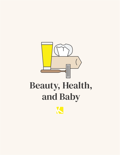<span id="page-2-0"></span>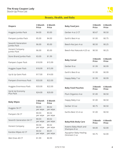$K$ andoo Wipes 42 CT  $\frac{$0.02}{0.05 \text{ N}}$ 

Wet Ones 40 CT \$1.99 \$0.99

per wipe

\$0.01 per wipe

<span id="page-3-0"></span>Stock-Up Price List



#### Beauty, Health, and Baby

| <b>Diapers</b>                      | 3 Month<br><b>Price</b> | 6 Month<br><b>Price</b> | <b>Baby Food Jars</b>      | 3 Month<br><b>Price</b> | 6 Month<br><b>Price</b> |
|-------------------------------------|-------------------------|-------------------------|----------------------------|-------------------------|-------------------------|
| Huggies Jumbo Pack                  | \$4.00                  | \$3.00                  | Gerber 4 oz 2 CT           | \$0.67                  | \$0.50                  |
| Pampers Jumbo Pack                  | \$5.00                  | \$4.00                  | Earth's Best 4 oz          | \$1.00                  | \$0.75                  |
| Seventh Generation<br>Jumbo Pack    | \$6.00                  | \$5.00                  | Beech-Nut Jars 4 oz        | \$0.50                  | \$0.25                  |
| <b>Honest Company</b><br>Jumbo Pack | \$6.00                  | \$5.00                  | Beech-Nut Naturals 4.25 oz | \$0.50                  | \$0.25                  |
| Store Brand Jumbo Pack              | \$3.00                  | \$1.99                  |                            | 3 Month                 | 6 Month                 |
| Pampers Super Pack                  | \$18.99                 | \$15.99                 | <b>Baby Cereal</b>         | <b>Price</b>            | <b>Price</b>            |
| Huggies Super Pack                  | \$18.99                 | \$15.99                 | Gerber 8 oz                | \$1.99                  | \$0.99                  |
| Up & Up Gaint Pack                  | \$17.00                 | \$14.00                 | Earth's Best 8 oz          | \$1.99                  | \$0.99                  |
| Pampers Enormous Pack               | \$33.00                 | \$22.00                 | Happy Baby 7 oz            | \$1.99                  | \$0.99                  |
|                                     |                         |                         |                            |                         |                         |
| Huggies Enormous Pack               | \$33.00                 | \$22.00                 | <b>Baby Food Pouches</b>   | 3 Month<br><b>Price</b> | 6 Month<br><b>Price</b> |
| Up & Up Economy<br>Plus Pack        | \$24.00                 | \$20.00                 | Plum Organics 4 oz         | \$1.00                  | \$0.50                  |
| <b>Baby Wipes</b>                   | 3 Month                 | 6 Month                 | Happy Baby 4 oz            | \$1.00                  | \$0.50                  |
|                                     | <b>Price</b>            | <b>Price</b>            | Gerber 3.5 oz              | \$0.75                  | \$0.50                  |
| Huggies 56 CT                       | \$0.03<br>per wipe      | \$0.02<br>per wipe      |                            |                         |                         |
| Pampers 56 CT                       | \$0.03<br>per wipe      | \$0.02<br>per wipe      | Earths Best 3.5-4 oz       | \$1.00                  | \$0.50                  |
| Seventh Generation 64 CT            | \$0.03<br>per wipe      | \$0.02<br>per wipe      | <b>Baby/Kids Body Care</b> | 3 Month<br><b>Price</b> | 6 Month<br><b>Price</b> |
| <b>Honest Company</b>               | \$0.04<br>per wipe      | \$0.02<br>per wipe      | Aveeno Baby Wash and       | \$4.00                  | \$2.00                  |

| <b><i>AVECTIO DADY VYASIT AITU</i></b><br>Shampoo 8 oz | \$4.00 | \$2.00 |
|--------------------------------------------------------|--------|--------|
| Aquaphor Baby Healing<br>Ointment 3 oz                 | \$3.75 | \$2.00 |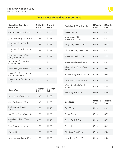

<span id="page-4-0"></span>

| <b>Baby/Kids Body Care</b><br>(Continued)   | 3 Month<br><b>Price</b> | 6 Month<br><b>Price</b> | <b>Body Wash (Continued)</b>          | 3 Month<br><b>Price</b> | 6 Month<br><b>Price</b> |
|---------------------------------------------|-------------------------|-------------------------|---------------------------------------|-------------------------|-------------------------|
| Cetaphil Baby Wash 8 oz                     | \$4.00                  | \$2.00                  | Nivea 16.9 oz                         | \$2.49                  | \$1.99                  |
| Johnson's Baby Lotion 9 oz                  | \$1.99                  | \$0.99                  | Jergens Wet Skin<br>Moisturizer 10 oz | \$2.99                  | \$1.99                  |
| Johnson's Baby Powder<br>15 oz              | \$1.99                  | \$0.99                  | Ivory Body Wash 21 oz                 | \$1.49                  | \$0.99                  |
| Johnson's Baby Shampoo<br>13 oz             | \$1.99                  | \$0.99                  | Old Spice Body Wash 18 oz             | \$2.49                  | \$1.99                  |
| Johnson's Head to Toe<br>Baby Wash 15 oz    | \$1.99                  | \$0.99                  | Suave Naturals 15 oz                  | \$0.49                  | <b>FREE</b>             |
| Boudreaux Diaper Rash<br>Ointment 2 oz      | \$2.50                  | \$1.00                  | Aveeno Body Wash 12 oz                | \$2.99                  | \$2.49                  |
| Desitin Original Paste 2 oz                 | \$3.99                  | \$1.99                  | Irish Springs Body Wash<br>18 oz      | \$1.99                  | \$0.49                  |
| Suave Kids Shampoo and<br>Conditioner 28 oz | \$2.50                  | \$1.00                  | St. Ives Body Wash 13.5 oz            | \$0.99                  | \$0.49                  |
| Suave Purely Fun Shampoo<br>28 oz           | \$2.50                  | \$1.00                  | Lever Body Wash 16.9 oz               | \$0.49                  | <b>FREE</b>             |
|                                             |                         |                         | White Rain Body Wash<br>12 oz         | \$0.49                  | <b>FREE</b>             |
| <b>Body Wash</b>                            | 3 Month<br><b>Price</b> | 6 Month<br><b>Price</b> | Axe Body Wash 16 oz                   | \$2.00                  | \$1.00                  |
| Dove Body Wash 22 oz                        | \$2.49                  | \$1.99                  |                                       |                         |                         |
| Olay Body Wash 22 oz                        | \$2.49                  | \$1.99                  | <b>Deodorant</b>                      | 3 Month<br><b>Price</b> | 6 Month<br><b>Price</b> |
| Softsoap Body Wash<br>15-18 oz              | \$1.99                  | \$0.49                  | Axe 2.7 oz                            | \$1.99                  | \$1.49                  |
| Dial/Tone Body Wash 16 oz                   | \$1.99                  | \$0.99                  | Suave 2.6 oz                          | \$0.99                  | \$0.75                  |
| Zest/Coast Body Wash<br>18 oz               | \$0.99                  | \$0.49                  | Secret Basic 2.6 oz                   | \$1.50                  | \$0.99                  |
| Zest Fruit Boost 10 oz                      | \$1.99                  | \$0.99                  | Sure 2.6 oz                           | \$0.99                  | \$0.49                  |
| Caress 12 oz                                | \$1.99                  | \$0.99                  | Old Spice Sport 3 oz                  | \$3.00                  | \$2.00                  |
| Dove Men and Care 18 oz                     | \$1.99                  | \$0.99                  | Lady Speed Stick 2.3 oz               | \$1.50                  | \$1.00                  |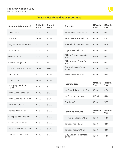

<span id="page-5-0"></span>

| <b>Deodorant (Continued)</b>  | 3 Month<br><b>Price</b> | 6 Month<br><b>Price</b> | <b>Shave Gel</b>                     | 3 Month<br><b>Price</b> | 6 Month<br><b>Price</b> |
|-------------------------------|-------------------------|-------------------------|--------------------------------------|-------------------------|-------------------------|
| Speed Stick 3 oz              | \$1.50                  | \$1.00                  | Skintimate Shave Gel 7 oz            | \$1.99                  | \$0.99                  |
| Brut 2 oz                     | \$0.99                  | \$0.49                  | Satin Care Shave Gel 7 oz            | \$1.99                  | \$1.49                  |
| Degree Motionsense 2.6 oz     | \$2.00                  | \$1.00                  | Pure Silk Shave Cream 8 oz           | \$0.99                  | \$0.50                  |
| Dove 2.6 oz                   | \$2.50                  | \$2.00                  | Edge Shave Gel 7 oz                  | \$1.99                  | \$0.99                  |
| Gillette 3.8 oz               | \$2.50                  | \$2.00                  | Gillette Fusion Shave Gel<br>7 oz    | \$1.49                  | \$0.99                  |
| Clinical Strength 1.6 oz      | \$4.00                  | \$3.00                  | Gillette Venus Shave Gel<br>6 oz     | \$1.49                  | \$0.99                  |
| Arm and Hammer 2.8 oz         | \$0.99                  | FREE                    | <b>Barbasol Shave Cream</b><br>10 oz | \$0.50                  | <b>FREE</b>             |
| <b>Ban 2.6 oz</b>             | \$2.00                  | \$0.99                  | Nivea Shave Gel 7 oz                 | \$1.99                  | \$0.99                  |
| Arrid 2.7 oz                  | \$0.99                  | \$0.49                  |                                      |                         |                         |
|                               |                         |                         |                                      |                         |                         |
| Dry Spray Deodorant<br>3.8 oz | \$2.50                  | \$2.00                  | <b>Intimate Care</b>                 | 3 Month<br><b>Price</b> | 6 Month<br><b>Price</b> |
| Right Guard Sport 3 oz        | \$1.49                  | \$0.99                  | KY Generic Lubricant 1.5 oz          | \$2.50                  | \$1.50                  |
| Right Guard Xtreme 4 oz       | \$1.99                  | \$1.49                  | <b>KY Premium Lubricant</b>          | \$10.00                 | \$5.00                  |
| Mitchum 2.25 oz               | \$2.00                  | \$1.00                  | Condoms 3 ct                         | \$2.50                  | <b>FREE</b>             |
| Degree Basic 2.7 oz           | \$2.50                  | \$2.00                  | <b>Feminine Products</b>             | 3 Month<br><b>Price</b> | 6 Month<br><b>Price</b> |
| Old Spice Red Zone 3 oz       | \$3.00                  | \$2.00                  | Playtex GentleGlide 18 CT            | \$2.00                  | \$1.50                  |
| Secret Outlast 2.6 oz         | \$2.50                  | \$2.00                  | Tampax Pearl 18 CT                   | \$2.50                  | \$2.00                  |
| Dove Men and Care 2.7 oz      | \$1.99                  | \$1.49                  | Tampax Radiant 16 CT                 | \$2.50                  | \$2.00                  |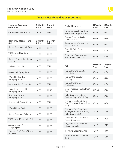

<span id="page-6-0"></span>

| <b>Feminine Products</b><br>(Continued)       | 3 Month<br><b>Price</b> | <b>6 Month</b><br><b>Price</b> |
|-----------------------------------------------|-------------------------|--------------------------------|
| CareFree Pantiliners 20 CT                    | \$0.49                  | <b>FREE</b>                    |
| Hairspray, Mousse, and<br>Gel                 | 3 Month<br><b>Price</b> | 6 Month<br><b>Price</b>        |
| Herbal Essences Hair Spray<br>8 oz            | \$0.99                  | \$0.50                         |
| TRESemmé Hair Spray<br>11 oz                  | \$1.99                  | \$0.99                         |
| Garnier Fructis Hair Spray<br>8.25 oz         | \$0.99                  | \$0.50                         |
| LA Looks Gel 20 oz                            | \$0.50                  | <b>FREE</b>                    |
| Aussie Hair Spray 14 oz                       | \$1.50                  | \$0.99                         |
| L'Oreal Paris Advanced<br>Hairspray 8.25 oz   | \$0.99                  | \$0.50                         |
| Aqua Net Hair Spray 16 oz                     | \$0.50                  | <b>FREE</b>                    |
| Suave Extreme Hold<br>Hairspray 11 oz         | \$0.99                  | \$0.49                         |
| Dove Non-Aerosol<br>Hairspray 9.25 oz         | \$1.50                  | \$0.99                         |
| Finesse Hair Spray 9.3 oz                     | \$0.99                  | <b>FREE</b>                    |
| L'Oreal Elnett Paris                          | \$1.99                  | \$0.99                         |
| Herbal Essences Gel 6 oz                      | \$0.99                  | \$0.50                         |
| TRESemmé Mega Hold Gel<br>9 oz                | \$1.50                  | \$0.99                         |
| Aussie Instant Freeze<br><b>Sculpting Gel</b> | \$1.50                  | \$0.99                         |
| Pantene Pro-V Extra Strong<br>Hold Gel        | \$1.99                  | \$0.99                         |
|                                               |                         |                                |

| <b>Facial Cleansers</b>                                                      | 3 Month<br><b>Price</b> | <b>6 Month</b><br><b>Price</b> |
|------------------------------------------------------------------------------|-------------------------|--------------------------------|
| Neutrogena Oil-Free Acne<br>Wash Pink Grapefruit 6 oz                        | \$1.99                  | \$0.99                         |
| CeraVe Foaming Facial<br>Cleanser 16 oz                                      | \$8.00                  | \$5.00                         |
| Aveeno Clear Complexion<br><b>Facial Cleanser</b>                            | \$1.99                  | \$0.99                         |
| Cetaphil Daily Facial<br>Cleanser 8 oz                                       | \$3.00                  | \$1.50                         |
| Clean and Clear Morning<br><b>Burst Facial Cleanser 8 oz</b>                 | \$2.50                  | \$2.00                         |
| Pet                                                                          | 3 Month<br><b>Price</b> | <b>6 Month</b><br><b>Price</b> |
| Purina Beyond Dog/Cat<br>3.7-5 lb Bag                                        | \$3.00                  | \$1.50                         |
| Purina One Dog/Cat<br>8 lb Bag                                               | \$7.00                  | \$5.00                         |
| Purina Beneful Dog<br>3.5 lb Bag                                             | \$3.00                  | \$1.50                         |
| lams Proactive Health Dog/<br>Cat 5 lb                                       | \$10.00                 | \$7.00                         |
| Hill's Science/Avoderm/<br>Canidae Bags 3.5-6 lb Bags                        | \$9.00                  | \$7.00                         |
| <b>Premium Cat Food Cans</b><br>3 oz (Wellness, Science Diet<br>etc.)        | \$0.99                  | \$0.50                         |
| Premium Dog Food Cans<br>12 oz (Nutro, Blue Buffalo,<br>Hill's Science etc.) | \$1.50                  | \$1.00                         |
| Cat Food Cans 3 oz (Fancy<br>Feast, Sheba etc)                               | \$0.50                  | \$0.25                         |
| Dog Food Cans/Trays 6 oz<br>(Cesar, Alpo etc)                                | \$0.70                  | \$0.50                         |
| Tidy Cats Cat Litter 20 lb                                                   | \$6.00                  | \$4.00                         |
| Arm & Hammer Cat Litter<br>18 lb                                             | \$9.00                  | \$6.00                         |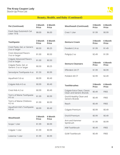

<span id="page-7-0"></span>

| <b>Pet (Continued)</b>                            | 3 Month<br><b>Price</b> | 6 Month<br><b>Price</b> | <b>Mouthwash (Continued)</b>                             | 3 Month<br><b>Price</b> | 6 Month<br><b>Price</b>        |
|---------------------------------------------------|-------------------------|-------------------------|----------------------------------------------------------|-------------------------|--------------------------------|
| Fresh Step Outstretch Cat<br>Litter 19 lb         | \$8.00                  | \$6.00                  | Crest 1 Liter                                            | \$1.99                  | \$0.99                         |
| <b>Toothpaste</b>                                 | 3 Month<br><b>Price</b> | 6 Month<br><b>Price</b> | <b>Denture Cream</b>                                     | 3 Month<br><b>Price</b> | <b>6 Month</b><br><b>Price</b> |
| Crest Paste, Gel, or Generic<br>3 oz or larger    | \$0.50                  | \$0.25                  | Fixodent 2.4 oz                                          | \$1.99                  | \$1.49                         |
| <b>Crest Advanced Flavors</b><br>3 oz or larger   | \$1.00                  | \$0.50                  | Poligrip 2 oz                                            | \$2.49                  | \$1.99                         |
| <b>Colgate Advanced Flavors</b><br>3 oz or larger | \$1.00                  | \$0.50                  |                                                          | 3 Month                 | 6 Month                        |
| Colgate Paste, Gel, or<br>Generic 3 oz or larger  | \$0.50                  | \$0.25                  | <b>Denture Cleansers</b>                                 | <b>Price</b>            | <b>Price</b>                   |
| Sensodyne Toothpaste 4 oz                         | \$1.50                  | \$0.99                  | Efferdent 24 CT                                          | \$1.99                  | \$0.99                         |
| Aquafresh 5.6 oz                                  | \$0.99                  | \$0.49                  | Polident 40 CT                                           | \$2.99                  | \$2.49                         |
| Colgate Kids 4-5 oz                               | \$0.99                  | \$0.49                  | <b>Toothbrushes</b>                                      | 3 Month<br><b>Price</b> | <b>6 Month</b><br><b>Price</b> |
| Crest Kids 4.2 oz                                 | \$0.99                  | \$0.49                  | Colgate Extra Clean, Classic<br>Clean and Generic Brands | \$0.49                  | <b>FREE</b>                    |
| Tom's of Maine Toothpaste<br>$4-5$ oz             | \$1.99                  | \$0.99                  | Oral-B Healthy Clean and<br><b>Generic Brands</b>        | \$0.49                  | <b>FREE</b>                    |
| Tom's of Maine Childrens<br>4.2 oz                | \$1.99                  | \$0.99                  | Reach                                                    | \$0.49                  | <b>FREE</b>                    |
| Aquafresh Kid's Toothpaste<br>4.6 oz              | \$0.99                  | \$0.49                  | Colgate Premium                                          | \$0.99                  | \$0.49                         |
| <b>Mouthwash</b>                                  | 3 Month                 | 6 Month                 | Oral-B Premium                                           | \$0.99                  | \$0.49                         |
| Scope 1 Liter                                     | <b>Price</b><br>\$1.99  | <b>Price</b><br>\$0.99  | Arm and Hammer<br>Spinbrush                              | \$1.99                  | \$0.99                         |
|                                                   |                         |                         | AIM Toothbrush                                           | \$0.49                  | <b>FREE</b>                    |
| Colgate 1 Liter                                   | \$1.99                  | \$0.99                  | <b>GUM Toothbrush</b>                                    | \$0.49                  | <b>FREE</b>                    |
| Listerine 1 Liter                                 | \$1.99                  | \$0.99                  |                                                          |                         |                                |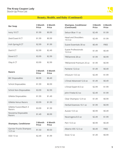

<span id="page-8-0"></span>

| <b>Bar Soap</b>   | 3 Month<br><b>Price</b> | 6 Month<br><b>Price</b> |
|-------------------|-------------------------|-------------------------|
| Ivory 10 CT       | \$1.99                  | \$0.99                  |
| Zest/Coast 8 CT   | \$1.99                  | \$0.99                  |
| Irish Spring 8 CT | \$2.99                  | \$1.99                  |
| Dial 8 CT         | \$2.99                  | \$2.49                  |
| Dove 6 CT         | \$3.99                  | \$2.99                  |
| Olay 6 CT         | \$3.99                  | \$2.99                  |

| <b>Razors</b>                    | 3 Month<br>Price | 6 Month<br><b>Price</b> |
|----------------------------------|------------------|-------------------------|
| <b>BIC Disposables</b>           | \$0.99           | \$0.49                  |
| <b>Schick Disposables</b>        | \$1.99           | \$0.99                  |
| Schick Non-Disposables           | \$3.99           | \$2.99                  |
| <b>Gillette Disposables</b>      | \$1.99           | \$1.49                  |
| Gillette Venus Razors            | \$3.99           | \$1.99                  |
| Gillette Fusion/Mach 3<br>Razors | \$3.99           | \$1.99                  |
| Noxzema Disposable<br>Razors     | \$1.49           | \$0.99                  |
|                                  |                  |                         |

| <b>Shampoo, Conditioner</b>                  | 3 Month<br><b>Price</b> | 6 Month<br><b>Price</b> |
|----------------------------------------------|-------------------------|-------------------------|
| Garnier Fructis Shampoo<br>$12.5 \text{ oz}$ | \$1.50                  | \$0.50                  |
| OGX 13 oz                                    | \$2.49                  | \$1.99                  |

| <b>Shampoo, Conditioner</b><br>(Continued) | 3 Month<br><b>Price</b> | 6 Month<br><b>Price</b> |
|--------------------------------------------|-------------------------|-------------------------|
| Selsun Blue 11 oz                          | \$2.49                  | \$1.99                  |
| <b>Head and Shoulders</b><br>13.5 oz       | \$2.49                  | \$1.99                  |
| Suave Essentials 30 oz                     | \$0.49                  | <b>FREE</b>             |
| Suave Professionals<br>12.6 oz             | \$1.49                  | \$0.49                  |
| TRESemmé 28 oz                             | \$1.99                  | \$0.99                  |
| TRESemmé Premium 25 oz                     | \$1.99                  | \$0.99                  |
| Pantene 12.6 oz                            | \$1.49                  | \$0.49                  |
| Infusium 13.5 oz                           | \$2.49                  | \$1.99                  |
| L'Oreal Advanced 12.6 oz                   | \$1.49                  | \$0.49                  |
| L'Oreal Expert 8.5 oz                      | \$2.99                  | \$1.99                  |
| John Frieda 8.3 oz                         | \$2.49                  | \$1.99                  |
| Clear Shampoo 12.9 oz                      | \$1.49                  | \$0.99                  |
| Herbal Essences 10.1 oz                    | \$1.99                  | \$0.99                  |
| Aussie 13.5 oz                             | \$0.99                  | \$0.49                  |
| Neutrogena 8.5 oz                          | \$2.49                  | \$1.99                  |
| Pert 13.5 oz                               | \$0.99                  | \$0.49                  |
| Alberto V05 12.5 oz                        | \$0.49                  | <b>FREE</b>             |
| Dove 12 oz                                 | \$1.49                  | \$0.99                  |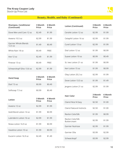

# Beauty, Health, and Baby (Continued)

<span id="page-9-0"></span>

| <b>Shampoo, Conditioner</b><br>(Continued) | 3 Month<br><b>Price</b> | 6 Month<br><b>Price</b> | <b>Lotion (Continued)</b>        | 3 Month<br><b>Price</b> | 6 Month<br><b>Price</b> |
|--------------------------------------------|-------------------------|-------------------------|----------------------------------|-------------------------|-------------------------|
| Dove Men and Care 12 oz                    | \$2.49                  | \$1.99                  | CeraVe Lotion 12 oz              | \$2.99                  | \$1.99                  |
| Aveeno 10.5 oz                             | \$2.99                  | \$1.99                  | Cetaphil Lotion 16 oz            | \$2.99                  | \$1.99                  |
| Garnier Whole Blends<br>12.5 oz            | \$1.49                  | \$0.49                  | Curel Lotion 13 oz               | \$2.99                  | \$1.99                  |
| White Rain 18 oz                           | \$0.49                  | <b>FREE</b>             | Dial Lotion 12 oz                | \$1.99                  | \$0.99                  |
| Axe 12 oz                                  | \$2.49                  | \$1.99                  | Suave Lotion 10 oz               | \$0.99                  | \$0.49                  |
| Finesse 13 oz                              | \$0.49                  | <b>FREE</b>             | St. Ives Lotion 21 oz            | \$1.99                  | \$0.99                  |
| Schwarzkopf Gliss 13.6 oz                  | \$2.99                  | \$1.99                  | Keri Lotion 15 oz                | \$1.99                  | \$0.99                  |
|                                            | 3 Month                 | 6 Month                 | Olay Lotion 20.2 oz              | \$2.99                  | \$1.99                  |
| <b>Hand Soap</b>                           | <b>Price</b>            | <b>Price</b>            | Dove Lotion 13.5 oz              | \$1.99                  | \$1.49                  |
| Dial 7.5 oz                                | \$0.99                  | \$0.49                  | Jergens Lotion 21 oz             | \$2.99                  | \$1.99                  |
| Softsoap 7.5 oz                            | \$0.99                  | \$0.49                  |                                  |                         |                         |
|                                            | 3 Month                 | 6 Month                 | <b>Hair Color</b>                | 3 Month<br><b>Price</b> | 6 Month<br><b>Price</b> |
| Lotion                                     | <b>Price</b>            | <b>Price</b>            | Clairol Nice N Easy              | \$2.50                  | \$1.00                  |
| Aveeno 12 oz                               | \$2.99                  | \$1.99                  | <b>Clairol Natural Instincts</b> | \$2.50                  | \$1.00                  |
| Gold Bond Lotion 14 oz                     | \$1.99                  | \$0.99                  | Revlon ColorSilk                 | \$1.99                  | \$0.99                  |
| Lubriderm Lotion 16 oz                     | \$2.99                  | \$1.99                  | Revlon ColorSilk<br>Buttercream  | \$2.99                  | \$1.99                  |
| Nivea Lotion 16.9 oz                       | \$1.99                  | \$0.99                  | <b>Garnier Nutrisse</b>          | \$2.99                  | \$1.99                  |
| Vaseline Lotion 10 oz                      | \$1.99                  | \$0.99                  | Garnier Olia                     | \$3.99                  | \$2.99                  |

Eucerin Lotion 16.9 oz  $$2.49$  \$1.49

Schwarzkopf \$3.99 \$2.99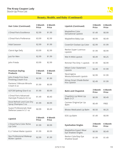#### <span id="page-10-0"></span>**The Krazy Coupon Lady**

Stock-Up Price List



| <b>Hair Color (Continued)</b> | 3 Month<br><b>Price</b> | 6 Month<br>Price |
|-------------------------------|-------------------------|------------------|
| l 'Oreal Paris Excellence     | \$2.99                  | \$1.99           |
| l 'Oreal Paris Preference     | \$3.99                  | \$2.99           |
| Vidal Sassoon                 | \$2.99                  | \$1.99           |
| Clairol Age Defy              | \$3.99                  | \$2.99           |
| Just for Men                  | \$2.99                  | \$1.99           |
| John Frieda                   | \$3.99                  | \$2.99           |

| 3 Month<br><b>Price</b> | 6 Month<br><b>Price</b> |
|-------------------------|-------------------------|
| \$2.99                  | \$1.99                  |
| \$1.99                  | \$0.99                  |
| \$1.99                  | \$0.99                  |
| \$1.49                  | \$0.40                  |
| \$1.99                  | \$0.99                  |
| \$0.99                  | \$0.49                  |
|                         |                         |

| <b>Lipstick</b>                                   | 3 Month<br><b>Price</b> | <b>6 Month</b><br><b>Price</b> |
|---------------------------------------------------|-------------------------|--------------------------------|
| L'Oreal Paris Color Riche<br>Lip Color            | \$1.99                  | \$0.99                         |
| E.L.F Velvet Matte Lipstick                       | \$1.99                  | \$0.99                         |
| Nyx Professional Makeup<br><b>Butter Lipstick</b> | \$2.99                  | \$1.99                         |

| <b>Lipstick (Continued)</b>               | 3 Month<br><b>Price</b> | 6 Month<br><b>Price</b> |
|-------------------------------------------|-------------------------|-------------------------|
| Maybelline Color<br>Sensational Lipstick  | \$1.49                  | \$0.99                  |
| Maybelline Baby Lips                      | \$0.99                  | \$0.49                  |
| CoverGirl Outlast Lip Color               | \$2.99                  | \$1.99                  |
| Revlon Super Lustrous<br>Lipstick         | \$1.99                  | \$0.99                  |
| Wet N Wild Lipstick                       | \$0.49                  | \$0.25                  |
| Rimmel The Only 1 Lipstick                | \$1.99                  | \$0.99                  |
| Milani Color Statement<br>Lipstick        | \$2.49                  | \$1.99                  |
| Neutrogena<br>MoistureSmooth Lipstick     | \$2.99                  | \$1.99                  |
| Almay Smart Shade Butter<br>Kiss Lipstick | \$2.49                  | \$1.99                  |
| <b>Balm and Chapstick</b>                 | 3 Month<br><b>Price</b> | 6 Month<br><b>Price</b> |

| <b>DAIIII AIIU CHAPSLICK</b>         | <b>Price</b> | <b>Price</b> |
|--------------------------------------|--------------|--------------|
| ChapStick Lip Moist Lip<br>Balm 3 CT | \$0.99       | \$0.49       |
| Carmex Original Jar Lip<br>Balm      | \$0.49       | <b>FREE</b>  |
| <b>Blistex Medicated Lip Balm</b>    | \$0.50       | \$0.25       |
| <b>EOS Lip Balm</b>                  | \$1.49       | \$0.99       |

| <b>Eyeshadow Singles</b>                     | 3 Month<br><b>Price</b> | 6 Month<br><b>Price</b> |
|----------------------------------------------|-------------------------|-------------------------|
| Maybelline Expert Wear<br>Eye Shadow Singles | \$0.99                  | \$0.49                  |
| Revlon ColorStay Eye<br>Shadow Quad          | \$1.99                  | \$1.49                  |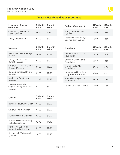<span id="page-11-0"></span>

| <b>Eyeshadow Singles</b><br>(Continued)                  | 3 Month<br><b>Price</b> | 6 Month<br><b>Price</b> | <b>Eyeliner (Continued)</b>                        | 3 Month<br><b>Price</b> | 6 Month<br><b>Price</b> |
|----------------------------------------------------------|-------------------------|-------------------------|----------------------------------------------------|-------------------------|-------------------------|
| CoverGirl Eye Enhancers 1<br>Kit Eye Shadow              | \$0.49                  | <b>FREE</b>             | Almay Intense I-Color<br>Eyeliner                  | \$1.99                  | \$0.99                  |
| Almay Shadow Softies                                     | \$1.99                  | \$0.99                  | Physicians Formula Eye<br>Booster 2 in 1 Eye Liner | \$3.99                  | \$2.99                  |
| <b>Mascara</b>                                           | 3 Month<br><b>Price</b> | 6 Month<br><b>Price</b> | <b>Foundation</b>                                  | 3 Month<br><b>Price</b> | 6 Month<br><b>Price</b> |
| Wet N Wild Mascara Mega<br>Protein                       | \$0.99                  | \$0.49                  | L'Oreal Paris True Match<br>Foundation             | \$3.49                  | \$2.49                  |
| Almay One Coat Multi<br>Benefit Mascara                  | \$1.99                  | \$0.99                  | CoverGirl Clean Liquid<br>Foundation               | \$1.99                  | \$0.99                  |
| CoverGirl LashBlast Clump<br><b>Crusher Mascara</b>      | \$1.99                  | \$0.99                  | Maybelline Fit Me<br>Foundation                    | \$3.00                  | \$1.50                  |
| Revlon Ultimate All-In One<br>Mascara                    | \$1.99                  | \$0.99                  | Neutrogena Nourishing<br>Long Wear Foundation      | \$3.49                  | \$2.99                  |
| Maybelline Great Lash<br>Mascara                         | \$1.49                  | \$0.49                  | <b>Rimmel Lasting Finish</b><br>Foundation         | \$2.49                  | \$1.99                  |
| Physicians Formula<br>Organic Wear Jumbo Lash<br>Mascara | \$4.00                  | \$3.00                  | Revlon ColorStay Makeup                            | \$2.99                  | \$1.99                  |

| <b>Eyeliner</b>                                   | 3 Month<br>Price | 6 Month<br><b>Price</b> |
|---------------------------------------------------|------------------|-------------------------|
| Revlon ColorStay Eye Liner                        | \$1.99           | \$0.99                  |
| CoverGirl Ink It Eyeliner                         | \$1.99           | \$0.99                  |
| L'Oreal Infallible Eye Liner                      | \$2.99           | \$1.99                  |
| Nyx Professionals Makeup<br>Matte Liquid Liner    | \$2.49           | \$1.49                  |
| Maybelline Eye Studio<br>Master Precise Eye Liner | \$1.99           | \$0.99                  |
| Rimmel Kohl Waterproof<br>Eye Liner               | \$0.99           | \$0.49                  |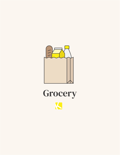<span id="page-12-0"></span>

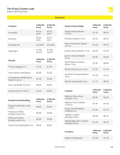#### **Grocery**

<span id="page-13-0"></span>

| <b>Produce</b>                            | 3 Month<br><b>Price</b> | <b>6 Month</b><br><b>Price</b> |
|-------------------------------------------|-------------------------|--------------------------------|
| Avocados                                  | \$0.50<br>each          | \$0.25<br>each                 |
| Bananas                                   | \$0.20<br>each          | \$0.15<br>each                 |
| <b>Strawberries</b>                       | \$2.50/lb               | \$2.00/lb                      |
| Asparagus                                 | \$1.50/<br>bunch        | \$1.00/<br>bunch               |
| <b>Breads</b>                             | 3 Month<br><b>Price</b> | <b>6 Month</b><br><b>Price</b> |
| Thomas Bagels 6 CT                        | \$1.99                  | \$1.49                         |
| Udi's Gluten Free Bread                   | \$2.99                  | \$2.49                         |
| Oroweat/Arnold/Burberry<br>Bread 16-24 oz | \$1.49                  | \$0.99                         |
| Sara Lee Bread 16-24 oz                   | \$0.99                  | \$0.69                         |
| Natures Own 16-24 oz                      | \$1.49                  | \$0.99                         |
|                                           |                         |                                |
| <b>Breadcrumbs/Stuffing</b>               | 3 Month<br><b>Price</b> | <b>6 Month</b><br><b>Price</b> |
| Progresso Breadcrumbs<br>15 oz            | \$0.89                  | \$0.49                         |
| Progresso Panko<br>Breadcrumbs 8 oz       | \$0.99                  | \$0.69                         |
| Kikkoman Panko<br>Breadcrumbs 8 oz        | \$0.99                  | \$0.69                         |
| Stove Top Stuffing Mix 6 oz               | \$0.99                  | \$0.49                         |

| <b>Peanut Butter/Jelly</b>             | 3 Month<br><b>Price</b> | 6 Month<br><b>Price</b> |
|----------------------------------------|-------------------------|-------------------------|
| <b>Skippy Peanut Butter</b><br>16.3 oz | \$1.29                  | \$0.59                  |
| Jif Peanut Butter 16 oz                | \$1.59                  | \$0.79                  |
| Peter Pan Peanut Butter<br>16.3 oz     | \$1.69                  | \$0.99                  |
| Justin's Peanut Butter 16 oz           | \$2.99                  | \$1.99                  |
| Justin's Almond Butter<br>12 oz        | \$3.99                  | \$2.99                  |
| Earth Balance Peanut<br>Butter 16 oz   | \$1.99                  | \$0.99                  |
| Bonne Maman Jam 13 oz                  | \$1.99                  | \$1.49                  |
| Smucker's Preserves/Jams<br>18 oz      | \$1.69                  | \$1.29                  |
| Welch's Grape Jelly 32 oz              | \$1.19                  | \$0.69                  |

| <b>Cookies</b>                              | 3 Month<br><b>Price</b> | 6 Month<br><b>Price</b> |
|---------------------------------------------|-------------------------|-------------------------|
| Nabisco Chips Ahoy<br>Cookies 13 oz         | \$0.99                  | \$0.49                  |
| Nabisco Oreo Cookies<br>15.35 oz            | \$1.99                  | \$1.49                  |
| Enjoy Life Soft Baked<br>Cookies 6 oz       | \$1.99                  | \$1.49                  |
| Keebler Cookies<br>(Multiple Sizes)         | \$0.99                  | \$0.79                  |
| Pepperidge Farm Cookies<br>(Multiple Sizes) | \$1.49                  | \$0.99                  |

| <b>Crackers</b>    | 3 Month<br><b>Price</b> | 6 Month<br><b>Price</b> |
|--------------------|-------------------------|-------------------------|
| Nabisco Multipacks | \$2.99                  | \$1.99                  |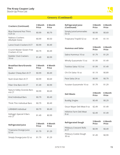<span id="page-14-0"></span>

| <b>Crackers (Continued)</b>                  | 3 Month<br>Price | <b>6 Month</b><br>Price |
|----------------------------------------------|------------------|-------------------------|
| <b>Blue Diamond Nut Thins</b><br>$4.25$ oz   | \$0.99           | \$0.79                  |
| Nabisco Crackers<br>(Multiple Sizes)         | \$0.99           | \$0.50                  |
| Lance Snack Crackers 8 CT                    | \$0.99           | \$0.49                  |
| Crunch Master Gluten Free<br>Crackers 4.5 oz | \$0.79           | \$0.49                  |
| Keebler Club Crackers<br>16 oz               | \$1.49           | \$0.99                  |
| Rraakfact Rarc/Granola                       | 2 Manth          | 6 Month                 |

| DI CARIASL DAI S/ UI AIIUIA<br>Bars  | <b>J</b> IVIUILII<br><b>Price</b> | o iviolitii<br><b>Price</b> |
|--------------------------------------|-----------------------------------|-----------------------------|
| Quaker Chewy Bars 8 CT               | \$0.99                            | \$0.49                      |
| Nutri-Grain Bars 8 CT                | \$0.99                            | \$0.69                      |
| Fiber One Bars 4-6 CT                | \$1.49                            | \$0.99                      |
| Nature Valley Granola Bars<br>4-6 CT | \$0.99                            | \$0.69                      |
| Kind Individual Bars                 | \$0.79                            | \$0.49                      |
| Think Thin Individual Bars           | \$0.79                            | \$0.49                      |
| LÄRABAR Individual                   | \$0.79                            | \$0.49                      |
| Kellogg's Special K Bars<br>4-6 CT   | \$1.49                            | \$0.99                      |

| <b>Refrigerated Juice</b>      | 3 Month<br><b>Price</b> | 6 Month<br><b>Price</b> |
|--------------------------------|-------------------------|-------------------------|
| Tropicana Orange Juice<br>5207 | \$1.79                  | \$1.29                  |
| Simply Orange Juice 52 oz      | \$1.79                  | \$1.29                  |

| <b>Refrigerated Juice</b><br>(Continued) | 3 Month<br><b>Price</b> | 6 Month<br><b>Price</b> |
|------------------------------------------|-------------------------|-------------------------|
| Simply Juice/Lemonades<br>52 oz          | \$0.99                  | \$0.69                  |
| Tropicana Trop50 52 oz                   | \$1.49                  | \$1.19                  |
| <b>Hummus and Salsa</b>                  | 3 Month<br><b>Price</b> | 6 Month<br><b>Price</b> |
| Sabra Hummus 10 oz                       | \$1.79                  | \$1.29                  |
| Wholly Guacamole 15 oz                   | \$1.99                  | \$1.49                  |
| Tostitos Salsa 15.5 oz                   | \$1.99                  | \$1.49                  |
| Chi Chi Salsa 16 oz                      | \$1.19                  | \$0.89                  |
| Pace Salsa 24 oz                         | \$0.99                  | \$0.79                  |
| Yucatan Guacamole 16 oz                  | \$1.79                  | \$1.29                  |

| <b>Deli Meats</b>                | 3 Month<br><b>Price</b> | 6 Month<br><b>Price</b> |
|----------------------------------|-------------------------|-------------------------|
| <b>Buddig Singles</b>            | \$0.49                  | \$0.29                  |
| Oscar Mayer Deli Meat 9 oz       | \$2.49                  | \$1.49                  |
| Hillshire Farm Deli Meat<br>8 oz | \$2.49                  | \$1.49                  |

| <b>Refrigerated Dough</b>                 | 3 Month<br><b>Price</b> | 6 Month<br><b>Price</b> |
|-------------------------------------------|-------------------------|-------------------------|
| Pillsbury Crescent Rolls<br>8 CT          | \$0.99                  | \$0.49                  |
| Pillsbury Cookie Dough<br>30 <sub>0</sub> | \$1.49                  | \$0.99                  |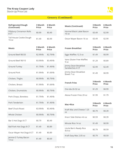

<span id="page-15-0"></span>

| <b>Refrigerated Dough</b><br>(Continued) | 3 Month<br><b>Price</b> | 6 Month<br><b>Price</b> | <b>Meats (Continued)</b>                | 3 Month<br><b>Price</b> | 6 Month<br><b>Price</b> |
|------------------------------------------|-------------------------|-------------------------|-----------------------------------------|-------------------------|-------------------------|
| Pillsbury Cinnamon Rolls<br>8 CT         | \$0.99                  | \$0.49                  | Hormel Black Label Bacon<br>16 oz       | \$3.49                  | \$2.99                  |
| Toll House Cookie Dough<br>16 oz         | \$1.49                  | \$0.99                  | Oscar Mayer Bacon 16 oz                 | \$3.49                  | \$2.99                  |
| <b>Meats</b>                             | 3 Month<br><b>Price</b> | 6 Month<br><b>Price</b> | <b>Frozen Breakfast</b>                 | 3 Month<br><b>Price</b> | 6 Month<br><b>Price</b> |
| Ground Beef 80/20                        | \$2.99/lb               | \$2.79/lb               | Eggo Waffles 12.3 oz                    | \$1.49                  | \$0.99                  |
| Ground Beef 90/10                        | \$3.99/lb               | \$3.49/lb               | Vans Gluten Free Waffles<br>9 oz        | \$1.29                  | \$0.89                  |
| <b>Ground Turkey</b>                     | \$1.79/lb               | \$1.49/lb               | Jimmy Dean Breakfast<br>Sandwiches 4 CT | \$2.99                  | \$2.49                  |
| <b>Ground Pork</b>                       | \$1.99/lb               | \$1.69/lb               | Jimmy Dean Breakfast<br>Bowls 7 oz      | \$1.49                  | \$0.99                  |
| Chicken, Thighs                          | \$0.99/lb               | \$0.79/lb               |                                         | 3 Month                 | 6 Month                 |
| Chicken, Breast                          | \$1.99/lb               | \$1.69/lb               | <b>French Fries</b>                     | <b>Price</b>            | <b>Price</b>            |
| Chicken, Drumsticks                      | \$0.99/lb               | \$0.79/lb               | Ore-Ida 26-32 oz                        | \$1.29                  | \$0.99                  |
| Pork Chops, Boneless                     | \$1.79/lb               | \$1.49/lb               | Alexia Frozen Fries 20 oz               | \$1.99                  | \$1.79                  |
| Pork Tenderloin                          | \$1.79/lb               | $$1.49$ /lb             | Mac+Rice                                | 3 Month<br><b>Price</b> | 6 Month<br><b>Price</b> |
| <b>Beef Chuck Roast</b>                  | \$3.99/lb               | \$3.49/lb               | Kraft Mac and Cheese 7.25               | \$0.79                  | \$0.39                  |
| Whole Chicken                            | \$0.99/lb               | \$0.79/lb               | OZ<br>Knorr Side Dishes 4-6 oz          | \$0.59                  | \$0.39                  |
| Bar S Hot Dogs 8 CT                      | \$0.79                  | \$0.49                  | Minute Rice 14 oz                       | \$1.49                  | \$0.99                  |
| Ball Park Hot Dogs 8 CT                  | \$1.49                  | \$0.89                  | Uncle Ben's Ready Rice                  |                         |                         |
| Oscar Mayer Hot Dogs 8 CT                | \$1.49                  | \$0.89                  | 8.8 oz                                  | \$0.79                  | \$0.59                  |
| Jennie-O Turkey Bacon<br>14 oz           | \$1.49                  | \$0.69                  | Kraft Easy Mac 2.05 oz                  | \$0.79                  | \$0.59                  |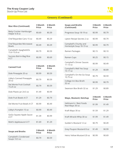

<span id="page-16-0"></span>

| <b>Mac+Rice (Continued)</b>                     | 3 Month<br><b>Price</b> | 6 Month<br><b>Price</b> |
|-------------------------------------------------|-------------------------|-------------------------|
| <b>Betty Crocker Hamburger</b><br>Helper 6-8 oz | \$0.69                  | \$0.39                  |
| Chef Boyardee Cans 15 oz                        | \$0.49                  | \$0.29                  |
| Chef Boyardee Microwave<br><b>Bowls</b>         | \$0.49                  | \$0.29                  |
| Campbell's SpaghettiOs<br>15.6-15.8 oz          | \$0.79                  | \$0.59                  |
| Success Boil-in-Bag Rice<br>4 CT                | \$0.99                  | \$0.69                  |
|                                                 |                         |                         |
| <b>Canned Fruit</b>                             | 3 Month<br><b>Price</b> | 6 Month<br><b>Price</b> |
| Dole Pineapple 20 oz                            | \$0.99                  | \$0.59                  |
| Libby's Canned Pineapple<br>20 oz               | \$0.79                  | \$0.59                  |
| Del Monte Fruit Cocktail<br>15.25 oz            | \$0.79                  | \$0.59                  |
| Dole Plastic Jar 24.5 oz                        | \$1.49                  | \$0.99                  |
| Dole Fruit Bowls 4 CT                           | \$1.29                  | \$0.79                  |
| Del Monte Fruit Bowls 4 CT                      | \$0.99                  | \$0.49                  |
| Libby's Pumpkin 15 oz                           | \$0.99                  | \$0.49                  |
| GoGo Squeez Apple Sauce<br>4 CT                 | \$1.39                  | \$0.99                  |
| Mott's Applesauce 6 CT                          | \$1.69                  | \$1.29                  |

| <b>Soups and Broths</b>               | 3 Month<br><b>Price</b> | 6 Month<br><b>Price</b> |
|---------------------------------------|-------------------------|-------------------------|
| Campbell's Condensed<br>Soups 10.5 oz | \$0.79                  | \$0.59                  |

| <b>Soups and Broths</b><br>(Continued)           | 3 Month<br><b>Price</b> | 6 Month<br><b>Price</b> |
|--------------------------------------------------|-------------------------|-------------------------|
| Progresso Soup 18-19 oz                          | \$0.99                  | \$0.79                  |
| Lipton Recipe Secrets 2 oz                       | \$0.99                  | \$0.79                  |
| Campbell's Chunky and<br>Homestyle Soup 18-19 oz | \$0.99                  | \$0.79                  |
| Ramen Packages                                   | \$0.15                  | \$0.10                  |
| Ramen Cups                                       | \$0.25                  | \$0.15                  |
| <b>Campbell's Dinner Sauces</b><br>$11-13$ oz    | \$0.99                  | \$0.49                  |
| Campbell's Well Yes Soup<br>15-17 oz             | \$1.29                  | \$0.89                  |
| Campbell's On the Go Soup<br>10.75 oz            | \$0.79                  | \$0.59                  |
| College Inn Box Broth<br>32 oz                   | \$0.99                  | \$0.79                  |
| Swanson Box Broth 32 oz                          | \$1.29                  | \$0.89                  |

| Mayo, Mustard, Ketchup                     | 3 Month<br>Price | 6 Month<br><b>Price</b> |
|--------------------------------------------|------------------|-------------------------|
| Hellmann's / Best Foods<br>Real Mayo 30 oz | \$1.99           | \$1.49                  |
| Kraft Mayo 30 oz                           | \$1.59           | \$1.29                  |
| Kraft Miracle Whip 30 oz                   | \$1.99           | \$1.49                  |
| Gulden's Mustard 12 oz                     | \$0.79           | \$0.49                  |
| Grey Poupon Mustard 8 oz                   | \$1.49           | \$0.99                  |
| Heinz Yellow Mustard 20 oz                 | \$0.99           | \$0.69                  |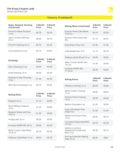

<span id="page-17-0"></span>

| Mayo, Mustard, Ketchup<br>(Continued)       | 3 Month<br><b>Price</b> | <b>6 Month</b><br><b>Price</b> |
|---------------------------------------------|-------------------------|--------------------------------|
| French's Yellow Mustard<br>14 oz            | \$0.79                  | \$0.59                         |
| Heinz Tomato Ketchup<br>20 oz               | \$0.99                  | \$0.79                         |
| French's Ketchup 20 oz                      | \$0.79                  | \$0.59                         |
| Hunts Ketchup 24 oz                         | \$0.79                  | \$0.59                         |
| <b>Dressings</b>                            | 3 Month<br><b>Price</b> | <b>6 Month</b><br><b>Price</b> |
| Ken's Dressing 16 oz                        | \$0.99                  | \$0.49                         |
| Kraft Dressing 16 oz                        | \$0.99                  | \$0.49                         |
| Newman's Own Dressing<br>16 oz              | \$1.49                  | \$0.99                         |
| Wish-Bone Dressing 15 oz                    | \$0.79                  | \$0.49                         |
| <b>Baking Mixes</b>                         | 3 Month<br><b>Price</b> | <b>6 Month</b><br><b>Price</b> |
| Bisquick 20 oz                              | \$1.19                  | \$0.89                         |
| Pearl Milling Company<br>32 oz              | \$1.29                  | \$0.89                         |
| <b>Bisquick Shake and Pour</b><br>10.6 oz   | \$1.29                  | \$0.89                         |
| Hungry Jack 32 oz                           | \$0.99                  | \$0.69                         |
| Krusteaz Waffle Mix 28 oz                   | \$0.99                  | \$0.49                         |
| <b>Betty Crocker Cake Mixes</b><br>15.25 oz | \$0.79                  | \$0.39                         |
| Pillsbury Cake Mixes 15 oz                  | \$0.69                  | \$0.29                         |

| <b>Baking Mixes (Continued)</b>     | 3 Month<br>Price | 6 Month<br><b>Price</b> |
|-------------------------------------|------------------|-------------------------|
| Duncan Hines Cake Mixes<br>15.25 oz | \$0.79           | \$0.39                  |
| Duncan Hines Easy Cake<br>Kits      | \$1.19           | \$0.79                  |
| King Arthur Flour 5 lb              | \$1.99           | \$1.49                  |
| Gold Medal Flour 5 lb               | \$1.19           | \$0.79                  |
| Pillsbury Quick Bread 14 oz         | \$0.99           | \$0.69                  |
| Betty Crocker Muffin Mix<br>16.9 oz | \$1.49           | \$0.99                  |
| Krusteaz Muffin Mix<br>17-18 oz     | \$0.99           | \$0.69                  |

| <b>Baking Extras</b>                                   | 3 Month<br><b>Price</b> | 6 Month<br><b>Price</b> |
|--------------------------------------------------------|-------------------------|-------------------------|
| Pillsbury Frosting 16 oz                               | \$0.99                  | \$0.69                  |
| <b>Betty Crocker Frosting</b><br>12 oz                 | \$0.99                  | \$0.69                  |
| Duncan Hines Frosting<br>16 oz                         | \$0.99                  | \$0.69                  |
| Bakers Chocolate 4 oz                                  | \$1.49                  | \$0.99                  |
| Enjoy Life Gluten Free<br>Chips 9 oz                   | \$1.99                  | \$1.49                  |
| Nestle Toll House Chips<br>1207                        | \$0.99                  | \$0.79                  |
| <b>Carnation Evaporated Milk</b><br>13.2 oz            | \$0.79                  | \$0.59                  |
| Nestle La Lechera<br>Sweetened Condensed<br>Milk 14 oz | \$0.99                  | \$0.79                  |
| Arm and Hammer Baking<br>Soda 16 oz                    | \$0.49                  | <b>FRFF</b>             |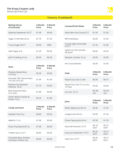

<span id="page-18-0"></span>

| <b>Baking Extras</b><br>(Continued)                 | 3 Month<br><b>Price</b> | 6 Month<br><b>Price</b> | <b>Cocoas/Drink Mixes</b>             | 3 Month<br><b>Price</b> | 6 Month<br><b>Price</b> |
|-----------------------------------------------------|-------------------------|-------------------------|---------------------------------------|-------------------------|-------------------------|
| Splenda Sweetener 50 CT                             | \$1.49                  | \$0.99                  | Swiss Miss Hot Cocoa 8 CT             | \$1.50                  | \$1.00                  |
| Sugar in the Raw 32 oz                              | \$1.79                  | \$1.29                  | MiO Individual                        | \$2.00                  | \$1.00                  |
| Truvia Sugar 40 CT                                  | \$0.99                  | <b>FREE</b>             | Crystal Light Lemonade<br>4-6 CT      | \$1.50                  | \$1.00                  |
| C&H Sugar 4 lb                                      | \$1.29                  | \$0.59                  | Lipton Ice Tea Canister<br>28-quart   | \$4.00                  | \$2.50                  |
| Jell-O Pudding 3.4 oz                               | \$0.59                  | \$0.29                  | Nesquik Canister 16 oz                | \$3.00                  | \$2.00                  |
| <b>Nuts</b>                                         | 3 Month<br><b>Price</b> | 6 Month<br><b>Price</b> | <b>Hot Cocoa Bombs</b>                | \$2.00                  | \$1.00                  |
| <b>Planters Mixed Nuts</b><br>15-18 oz              | \$5.50                  | \$3.00                  | <b>Soda</b>                           | 3 Month<br><b>Price</b> | 6 Month<br><b>Price</b> |
| Emerald 100 Calorie Packs<br>10 ct (6.2-6.9 oz)     | \$1.99                  | \$1.69                  | Pepsi/Coca Cola 2 Liter               | \$0.99                  | \$0.75                  |
| Planters Dry Roasted<br>Peanuts, 16 oz              | \$1.79                  | \$0.99                  | Pepsi/Coca Cola 12 oz cans<br>12 Pack | \$3.50                  | \$3.00                  |
| Blue Diamond Nuts,<br>$6$ oz (can)                  | \$1.89                  | \$0.99                  | LA Croix 12 CT                        | \$0.30/<br>can          | \$0.25/<br>can          |
| Fisher Walnut Halves &<br>Pieces 16 oz              | \$2.29                  | \$1.89                  |                                       | 3 Month                 | 6 Month                 |
|                                                     |                         |                         | Juice                                 | <b>Price</b>            | <b>Price</b>            |
| <b>Candy and Gum</b>                                | 3 Month<br><b>Price</b> | 6 Month<br><b>Price</b> | Motts Apple Juice 64 oz               | \$2.00                  | \$1.50                  |
| Swedish Fish 8 oz                                   | \$0.60                  | \$0.30                  | Langers Juice 64 oz                   | \$2.00                  | \$1.50                  |
| M&M 8-11 oz                                         | \$1.99                  | \$0.99                  | Ocean Spray Juice 64 oz               | \$2.50                  | \$1.50                  |
| Dove Chocolate 8.87 oz                              | \$1.99                  | \$0.99                  | Kool-Aid Pouches 10 CT                | \$0.18<br>each          | \$0.15<br>each          |
| Trident Gum 16 CT                                   | \$0.85                  | \$0.50                  | Juicy Juice Splashers 10 CT           | \$0.20<br>each          | \$0.15<br>each          |
| Chocolate Bars (Snicker,<br>Hershey's, KitKat, etc) | \$0.60                  | \$0.30                  | Capri Sun 10 CT                       | \$0.20<br>each          | \$0.15<br>each          |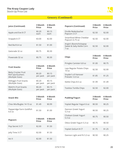

<span id="page-19-0"></span>

| <b>Juice (Continued)</b> | 3 Month<br><b>Price</b> | 6 Month<br><b>Price</b> | <b>Popcorn (Continued)</b>                         | 3 Month<br><b>Price</b> |
|--------------------------|-------------------------|-------------------------|----------------------------------------------------|-------------------------|
| Apple and Eve 8 CT       | \$0.20<br>each          | \$0.15<br>each          | Orville Redenbacher<br>Popcorn 3 CT                | \$2.50                  |
| Snapple 6 CT             | \$3.00                  | \$2.00                  | Smartfood White Cheddar<br>Popcorn 6.75 oz         | \$2.50                  |
| Red Bull 8.4 oz          | \$1.50                  | \$1.00                  | Angie's Boomchickapop<br>Sweet & Salty Kettle Corn | \$2.50                  |
| Gatorade 32 oz           | \$0.75                  | \$0.30                  | 7 oz                                               |                         |
| Powerade 32 oz           | \$0.75                  | \$0.30                  | <b>Chips</b>                                       | 3 Month<br><b>Price</b> |

| <b>Fruit Snacks</b>                                                | 3 Month<br><b>Price</b> | <b>6 Month</b><br><b>Price</b> |
|--------------------------------------------------------------------|-------------------------|--------------------------------|
| <b>Betty Crocker Fruit</b><br>Roll Ups/Gushers<br>(Multiple Sizes) | \$0.20<br>per pack      | \$0.15<br>per pack             |
| Kellogg's Fruit Snacks                                             | \$0.20                  | \$0.15                         |
| (Multiple Sizes)                                                   | per pack                | per pack                       |
| <b>Welch's Fruit Snacks</b>                                        | \$0.20                  | \$0.15                         |
| (Multiple Sizes)                                                   | per pack                | per pack                       |

| <b>Snack Mix</b>                   | 3 Month<br><b>Price</b> | 6 Month<br><b>Price</b> |
|------------------------------------|-------------------------|-------------------------|
| Chex Mix/Bugles 14-15 oz           | \$1.49                  | \$0.99                  |
| Pepperidge Farm Goldfish<br>6.6 oz | \$1.50                  | \$1.00                  |

| <b>Popcorn</b>  | 3 Month<br><b>Price</b> | 6 Month<br><b>Price</b> |
|-----------------|-------------------------|-------------------------|
| Pop Secret 3 CT | \$2.00                  | \$1.50                  |
| Jolly Time 3 CT | \$2.00                  | \$1.50                  |
| Act II          | \$2.00                  | \$1.50                  |

| <b>Popcorn (Continued)</b>                                 | 3 Month<br>Price | 6 Month<br><b>Price</b> |
|------------------------------------------------------------|------------------|-------------------------|
| Orville Redenbacher<br>Popcorn 3 CT                        | \$2.50           | \$2.00                  |
| Smartfood White Cheddar<br>Popcorn 6.75 oz                 | \$2.50           | \$2.00                  |
| Angie's Boomchickapop<br>Sweet & Salty Kettle Corn<br>7 oz | \$2.50           | \$2.00                  |

| <b>Chips</b>                                  | 3 Month<br><b>Price</b> | 6 Month<br><b>Price</b> |
|-----------------------------------------------|-------------------------|-------------------------|
| Pringles Canister 6.8 oz                      | \$1.00                  | \$0.75                  |
| Lays Regular Potato Chips<br>10 <sub>07</sub> | \$2.50                  | \$2.00                  |
| Snyder's of Hanover<br>Pretzels 12.0 oz       | \$1.85                  | \$1.25                  |
| Kettle Chips 8.5 oz                           | \$1.99                  | \$1.49                  |
| <b>Tostitos Tortilla Chips</b>                | \$2.50                  | \$2.00                  |

| <b>Pudding/Yogurt</b>          | 3 Month<br><b>Price</b> | 6 Month<br><b>Price</b> |
|--------------------------------|-------------------------|-------------------------|
| Yoplait Regular Yogurt 6 oz    | \$0.50                  | \$0.25                  |
| Dannon Greek Yogurt<br>5.3 oz  | \$0.50                  | \$0.25                  |
| Chobani Greek Yogurt<br>5.3 oz | \$0.75                  | \$0.50                  |
| Oikos Greek Yogurt 5.3 oz      | \$0.75                  | \$0.50                  |
| Yoplait GoGurt 8 CT            | \$1.75                  | \$1.25                  |
| Dannon Light and Fit 5.3 oz    | \$0.50                  | \$0.25                  |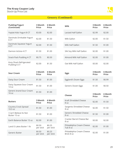

<span id="page-20-0"></span>

| <b>Pudding/Yogurt</b><br>(Continued)    | 3 Month<br><b>Price</b> | 6 Month<br><b>Price</b> | <b>Milk</b>  |
|-----------------------------------------|-------------------------|-------------------------|--------------|
| Yoplait Kids Yogurt 8 CT                | \$3.00                  | \$2.00                  | Lactaid Hal  |
| Danimals Drinkable Yogurt<br>6 CT       | \$2.00                  | \$1.50                  | Milk Gallon  |
| Danimals Squeeze Yogurt<br>4 CT         | \$2.00                  | \$1.50                  | Milk Half Ga |
| Dannon Activia 4 CT                     | \$1.50                  | \$1.00                  | Silk Soy Mil |
| Snack Pack Pudding 4 CT                 | \$0.75                  | \$0.50                  | Almond Mil   |
| Kozy Shack Refrigerated<br>Pudding 6 CT | \$2.00                  | \$1.50                  | Oat Milk Ha  |

| <b>Sour Cream</b>                           | 3 Month<br><b>Price</b> | 6 Month<br><b>Price</b> |
|---------------------------------------------|-------------------------|-------------------------|
| Daisy Sour Cream                            | \$1.50                  | \$1.00                  |
| Daisy Squeeze Sour Cream<br>140z            | \$1.50                  | \$1.00                  |
| Generic brand Sour Cream<br>$16 \text{ oz}$ | \$1.50                  | \$1.00                  |

| <b>Butters</b>                          | 3 Month<br><b>Price</b> | 6 Month<br><b>Price</b> |
|-----------------------------------------|-------------------------|-------------------------|
| <b>Country Crock Spread</b><br>10.5 oz  | \$1.50                  | \$1.00                  |
| l Can't Believe Its Not<br>Butter 15 oz | \$1.50                  | \$1.00                  |
| <b>Farth Balance Butter 15 oz</b>       | \$2.00                  | \$1.00                  |
| Land O Lakes Butter 1 lb                | \$0.50<br>per stick     | \$0.25<br>per stick     |
| <b>Generic Butter</b>                   | \$0.50<br>per stick     | \$0.25<br>per stick     |

| Milk                      | 3 Month<br><b>Price</b> | <b>6 Month</b><br>Price |
|---------------------------|-------------------------|-------------------------|
| Lactaid Half Gallon       | \$2.99                  | \$2.00                  |
| Milk Gallon               | \$2.00                  | \$1.50                  |
| Milk Half Gallon          | \$1.50                  | \$1.00                  |
| Silk Soy Milk Half Gallon | \$2.00                  | \$1.00                  |
| Almond Milk Half Gallon   | \$2.00                  | \$1.00                  |
| Oat Milk Half Gallon      | \$3.00                  | \$2.00                  |

| <b>Eggs</b>          | 3 Month<br><b>Price</b> | 6 Month<br><b>Price</b> |
|----------------------|-------------------------|-------------------------|
| Eggland's Dozen Eggs | \$1.50                  | \$0.99                  |
| Generic Dozen Eggs   | \$1.00                  | \$0.50                  |

| Cheese                                  | 3 Month<br>Price | 6 Month<br><b>Price</b> |
|-----------------------------------------|------------------|-------------------------|
| Kraft Shredded Cheese<br>8 oz           | \$2.00           | \$1.50                  |
| Sargento Shredded Cheese<br>8 oz        | \$2.00           | \$1.50                  |
| Generic Shredded Cheese<br>8 oz         | \$1.50           | \$1.00                  |
| Cracker Barrel Cheese Bar<br>8 oz       | \$3.00           | \$2.00                  |
| Philadelphia Cream Cheese<br>Tub 8 oz   | \$2.00           | \$1.00                  |
| Philadelphia Cream Cheese<br>Brick 8 oz | \$2.00           | \$1.00                  |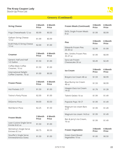

#### Grocery (Continued)

<span id="page-21-0"></span>

| <b>String Cheese</b>                 | 3 Month<br><b>Price</b> | 6 Month<br><b>Price</b> |
|--------------------------------------|-------------------------|-------------------------|
| Frigo Cheeseheads 12 oz              | \$0.99                  | \$0.50                  |
| Galbani String Cheese<br>120z        | \$1.99                  | \$0.99                  |
| Kraft Polly-O String Cheese<br>12 oz | \$2.00                  | \$1.00                  |
|                                      |                         |                         |

| <b>Creamer</b>                                        | 3 Month<br><b>Price</b> | 6 Month<br><b>Price</b> |
|-------------------------------------------------------|-------------------------|-------------------------|
| Generic Half and Half<br>1/2 Gallon                   | \$1.50                  | \$1.00                  |
| Coffee-Mate Coffee<br>Creamer, 16 oz                  | \$1.50                  | \$1.00                  |
| <b>International Delight</b><br>Coffee Creamer, 16 oz | \$1.00                  | \$0.50                  |

| <b>Frozen Pizzas</b>         | 3 Month<br><b>Price</b> | 6 Month<br><b>Price</b> |
|------------------------------|-------------------------|-------------------------|
| Hot Pockets 2 CT             | \$1.50                  | \$1.00                  |
| <b>Totino's Party Pizzas</b> | \$2.00                  | \$1.00                  |
| DiGiorno Pizza               | \$4.00                  | \$3.50                  |
| Red Baron Pizza              | \$2.25                  | \$1.50                  |

| Hot Pockets 2 CT                                  | \$1.50                  | \$1.00                  | Häagen-Dazs Ice Cream<br>14 oz                       |
|---------------------------------------------------|-------------------------|-------------------------|------------------------------------------------------|
| <b>Totino's Party Pizzas</b>                      | \$2.00                  | \$1.00                  | Talenti Gelato 16 oz                                 |
| DiGiorno Pizza                                    | \$4.00                  | \$3.50                  | Popsicle Pops 18 CT                                  |
| Red Baron Pizza                                   | \$2.25                  | \$1.50                  | Magnum Ice cream Bars<br>3 CT                        |
| <b>Frozen Meals</b>                               | 3 Month<br><b>Price</b> | 6 Month<br><b>Price</b> | Magnum Ice cream 14.8 oz<br>Ben & Jerry's Ice Cream, |
| Lean Cuisine Single Serve<br>Entrée 8.62 oz       | \$1.50                  | \$1.00                  | 16 oz                                                |
| Michelina's Single Serve<br>Entrees 8.5 oz        | \$0.75                  | \$0.50                  | <b>Frozen Vegetables</b>                             |
| Stouffer's Single Serve<br>Entrees(Various Sizes) | \$1.50                  | \$1.00                  | Green Giant Boxed<br>Vegetables 10 oz                |

| <b>Frozen Meals (Continued)</b>         | 3 Month<br><b>Price</b> | 6 Month<br><b>Price</b>        |
|-----------------------------------------|-------------------------|--------------------------------|
| <b>EVOL Single Frozen Meals</b><br>8 oz | \$1.99                  | \$0.99                         |
| <b>Pies</b>                             | 3 Month<br><b>Price</b> | 6 Month<br><b>Price</b>        |
| <b>Edwards Frozen Pies</b><br>26-30 oz  | \$2.99                  | \$1.99                         |
| Mrs. Smiths Frozen Pies<br>35-37 oz     | \$1.99                  | \$0.99                         |
| Sara Lee Frozen<br>Cheesecake 30 oz     | \$3.49                  | \$2.49                         |
| <b>Ice Cream</b>                        | 3 Month<br><b>Price</b> | <b>6 Month</b><br><b>Price</b> |
| Breyers Ice Cream 48 oz                 | \$1.59                  | \$0.99                         |
| Blue Bunny Ice Cream<br>48 oz           | \$1.59                  | \$0.99                         |
| Häagen-Dazs Ice Cream<br>14 oz          | \$1.79                  | \$1.39                         |
| Talenti Gelato 16 oz                    | \$1.99                  | \$1.49                         |
| Popsicle Pops 18 CT                     | \$1.99                  | \$1.49                         |
| Magnum Ice cream Bars<br>3 CT           | \$1.99                  | \$1.49                         |
| Magnum Ice cream 14.8 oz                | \$1.99                  | \$1.49                         |
| Ben & Jerry's Ice Cream,<br>16 oz       | \$1.99                  | \$1.49                         |
| <b>Frozen Vegetables</b>                | 3 Month                 | 6 Month                        |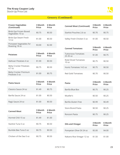

<span id="page-22-0"></span>

| <b>Frozen Vegetables</b><br>(Continued)    | 3 Month<br><b>Price</b> | 6 Month<br><b>Price</b> |
|--------------------------------------------|-------------------------|-------------------------|
| Birds Eye Frozen Boxed<br>Vegetables 10 oz | \$0.75                  | \$0.50                  |
| Birds Eye Steam Fresh<br>1207              | \$1.00                  | \$0.50                  |
| Pictsweet Vegetables for<br>Roasting 18 oz | \$3.00                  | \$2.00                  |

| <b>Potatoes</b>                                    | 3 Month<br><b>Price</b> | 6 Month<br><b>Price</b> |
|----------------------------------------------------|-------------------------|-------------------------|
| Idahoan Potatoes 4 oz                              | \$1.00                  | \$0.50                  |
| <b>Betty Crocker Potatoes</b><br>4.7 <sub>07</sub> | \$0.75                  | \$0.50                  |
| <b>Betty Crocker Premium</b><br>Potatoes 5 oz      | \$1.00                  | \$0.75                  |

| <b>Canned Meat (Continued)</b>      | 3 Month<br><b>Price</b> | 6 Month<br><b>Price</b> |
|-------------------------------------|-------------------------|-------------------------|
| Starkist Pouches 2.6 oz             | \$0.70                  | \$0.75                  |
| Valley Fresh Chicken 5 oz           | \$1.00                  | \$0.50                  |
| <b>Canned Tomatoes</b>              | 3 Month<br><b>Price</b> | 6 Month<br><b>Price</b> |
| Tuttorosso Tomatoes<br>$25 - 35$ oz | \$1.00                  | \$0.75                  |
| Rotel Diced Tomatoes<br>10 oz       | \$0.75                  | \$0.50                  |
| Hunts Tomatoes 14.5 oz              | \$0.75                  | \$0.50                  |
| Red Gold Tomatoes                   | \$0.70                  | \$0.50                  |

| Pasta Sauce          | 3 Month<br><b>Price</b> | 6 Month<br><b>Price</b> |
|----------------------|-------------------------|-------------------------|
| Classico Sauce 24 oz | \$1.49                  | \$0.75                  |
| Barilla Sauce 24 oz  | \$1.00                  | \$0.50                  |
| Ragù Sauce 24 oz     | \$1.00                  | \$0.50                  |

| <b>Canned Meat</b>      | 3 Month<br><b>Price</b> | 6 Month<br><b>Price</b> |
|-------------------------|-------------------------|-------------------------|
| Hormel Chili 15 oz      | \$1.49                  | \$1.00                  |
| Starkist Tuna 5 oz      | \$0.75                  | \$0.50                  |
| Bumble Bee Tuna 5 oz    | \$0.75                  | \$0.50                  |
| Chicken of the Sea 5 oz | \$0.75                  | \$0.50                  |

| Pasta               | 3 Month<br><b>Price</b> | <b>6 Month</b><br><b>Price</b> |
|---------------------|-------------------------|--------------------------------|
| Barilla Blue Box    | \$0.75                  | \$0.25                         |
| Mueller's           | \$0.50                  | \$0.25                         |
| Barilla Gluten Free | \$0.99                  | \$0.49                         |
| Store Brand Pasta   | \$0.50                  | \$0.25                         |
| Ronzoni Pasta       | \$0.75                  | \$0.25                         |

| <b>Oils and Vinegar</b>   | 3 Month<br><b>Price</b> | 6 Month<br><b>Price</b> |
|---------------------------|-------------------------|-------------------------|
| Pompeian Olive Oil 24 oz  | \$5.00                  | \$4.00                  |
| Nakano Rice Vinegar 12 oz | \$1.50                  | \$1.00                  |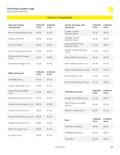

<span id="page-23-0"></span>

| <b>Oils and Vinegar</b><br>(Continued)    | 3 Month<br>Price | 6 Month<br>Price |
|-------------------------------------------|------------------|------------------|
| Pam Cooking Spray 5-6 oz                  | \$3.00           | \$2.00           |
| Wesson Oil 48 oz                          | \$3.00           | \$2.00           |
| Crisco Oil 48 oz                          | \$3.00           | \$2.00           |
| Crisco Cooking Lard 16 oz                 | \$3.00           | \$1.00           |
| Kikkoman Rice Vinegar<br>10 <sub>oz</sub> | \$1.00           | \$0.50           |
| Pompeian Vinegar 16 oz                    | \$1.50           | \$1.00           |

| <b>BBQ and Sauces</b>        | 3 Month<br><b>Price</b> | 6 Month<br><b>Price</b> |
|------------------------------|-------------------------|-------------------------|
| Kraft BBQ 18 oz              | \$1.00                  | \$0.75                  |
| Lawry's Marinade 12 oz       | \$2.00                  | \$1.00                  |
| Sweet Baby Rays BBQ<br>18 oz | \$1.00                  | \$0.50                  |
| Kikkoman Soy Sauce 10 oz     | \$1.50                  | \$1.00                  |
| Texas Pete Hot Sauce 12 oz   | \$0.75                  | \$0.50                  |
| Cholula Hot Sauce 5 oz       | \$2.00                  | \$1.50                  |
| Frank's RedHot Sauce 12 oz   | \$2.00                  | \$1.00                  |
| Tabasco Hot Sauce 5 oz       | \$2.00                  | \$1.00                  |
| Heinz 57 Sauce 10 oz         | \$2.00                  | \$1.50                  |
| A1 Sauce 10 oz               | \$2.00                  | \$1.00                  |

| Cereal, Granola, and<br><b>Oatmeals</b>        | 3 Month<br><b>Price</b> | 6 Month<br><b>Price</b> |
|------------------------------------------------|-------------------------|-------------------------|
| Quaker Cereals<br>(Various Sizes)              | \$1.25                  | \$0.50                  |
| Kellogg's Cereal<br>(Various Sizes)            | \$1.50                  | \$0.50                  |
| <b>General Mills Cereal</b><br>(Various Sizes) | \$1.50                  | \$0.50                  |
| Quaker Instant Oatmeal<br>10 CT                | \$1.50                  | \$1.00                  |
| Malt O Meal Cereal 30 oz                       | \$2.00                  | \$0.50                  |
| Bear Naked Granola 11 oz                       | \$1.99                  | \$1.49                  |
| Kashi Cereal (Various Sizes)                   | \$1.49                  | \$1.00                  |
| Kind Granola 11 oz                             | \$1.99                  | \$1.49                  |
| Post Cereal (Various Sizes)                    | \$1.25                  | \$0.50                  |

| <b>Tacos/Pizza Crusts</b>          | 3 Month<br>Price | 6 Month<br><b>Price</b> |
|------------------------------------|------------------|-------------------------|
| Ortega Taco Shells 5.8 oz          | \$1.00           | \$0.75                  |
| Old El Paso Taco Shells<br>6.89 07 | \$2.00           | \$1.50                  |
| Mission Tortillas 20 oz            | \$2.00           | \$1.50                  |

| <b>Bars</b>         | 3 Month<br><b>Price</b> | 6 Month<br><b>Price</b> |
|---------------------|-------------------------|-------------------------|
| Kind Bar Individual | \$0.50                  | \$0.25                  |
| LÄRABAR Individual  | \$0.50                  | \$0.25                  |
| Think Bar           | \$0.50                  | \$0.25                  |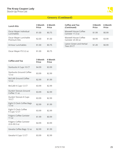

<span id="page-24-0"></span>

| <b>Lunch Kits</b>                     | 3 Month<br><b>Price</b> | 6 Month<br><b>Price</b> |
|---------------------------------------|-------------------------|-------------------------|
| Oscar Mayer Individual<br>Lunchables  | \$1.00                  | \$0.75                  |
| Oscar Mayer Lunchable<br>Premium Kits | \$2.00                  | \$1.00                  |
| Armour Lunchables                     | \$1.00                  | \$0.75                  |
| Oscar Mayer P3 3.2 oz                 | \$1.00                  | \$0.75                  |

| <b>Coffee and Tea</b>                          | 3 Month<br><b>Price</b> | 6 Month<br><b>Price</b> |
|------------------------------------------------|-------------------------|-------------------------|
| Starbucks K Cups 10 CT                         | \$4.99                  | \$3.99                  |
| <b>Starbucks Ground Coffee</b><br>12 oz        | \$3.99                  | \$2.99                  |
| McCafé Ground Coffee<br>12 oz                  | \$2.99                  | \$1.99                  |
| McCafé K Cups 12 CT                            | \$3.99                  | \$2.99                  |
| Dunkin' Donuts Ground<br>Coffee 11 oz          | \$3.99                  | \$2.99                  |
| Dunkin' Donuts K Cups<br>10 CT                 | \$3.99                  | \$2.99                  |
| Eight O Clock Coffee Bags<br>12 oz             | \$2.99                  | \$1.99                  |
| Eight O Clock Coffee<br>K Cups 12 CT           | \$3.99                  | \$2.99                  |
| <b>Folgers Coffee Canister</b><br>11 oz        | \$1.99                  | \$0.99                  |
| <b>Folgers Coffee Canister</b><br>22.6-30.5 oz | \$4.99                  | \$3.99                  |
| Gevalia Coffee Bags 12 oz                      | \$2.99                  | \$1.99                  |
| Gevalia K Cups 12 CT                           | \$3.99                  | \$2.99                  |

| Coffee and Tea<br>(Continued)             | 3 Month<br>Price | 6 Month<br><b>Price</b> |
|-------------------------------------------|------------------|-------------------------|
| Maxwell House Coffee<br>Canister 11.5 oz  | \$1.99           | \$0.99                  |
| Maxwell House Coffee<br>Canister 23-30 oz | \$4.99           | \$3.99                  |
| Lipton Green and Herbal<br>Teas 20 CT     | \$1.49           | \$0.99                  |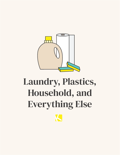<span id="page-25-0"></span>

# Laundry, Plastics, Household, and Everything Else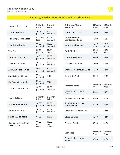

#### Laundry, Plastics, Household, and Everything Else

<span id="page-26-0"></span>

| <b>Laundry Detergent</b>                      | 3 Month<br><b>Price</b> | <b>6 Month</b><br><b>Price</b> |
|-----------------------------------------------|-------------------------|--------------------------------|
| Tide 50 oz Bottle                             | \$0.09<br>per load      | \$0.06<br>per load             |
| Tide Simply 40 oz Bottle                      | 0.07 per<br>load        | \$0.06<br>per load             |
| Tide 100 oz Bottle                            | \$0.09<br>per load      | \$0.06<br>per load             |
| <b>Tide Pods</b>                              | \$0.10<br>per pod       | \$0.08<br>per pod              |
| Purex 50 oz Bottle                            | \$0.06<br>per load      | \$0.03<br>per load             |
| All 46-50 oz Bottle                           | \$0.06<br>per load      | \$0.03<br>per load             |
| All Mighty Pacs 16.6 oz                       | \$0.12<br>per load      | \$0.09<br>per load             |
| Xtra Detergent 51 oz                          | \$0.01<br>per load      | <b>FREE</b>                    |
| OxiClean 40 oz Bottle                         | \$0.03<br>per load      | <b>FREE</b>                    |
| Arm and Hammer 50 oz                          | \$0.06<br>per load      | \$0.03<br>per load             |
| <b>Fabric Softener</b>                        | 3 Month<br><b>Price</b> | 6 Month<br><b>Price</b>        |
| Downy Softener 51 oz                          | \$0.077<br>per load     | \$0.06<br>per load             |
| Purex 100 oz Bottle                           | \$0.06<br>per load      | \$0.03<br>per load             |
| Snuggle 32 oz Bottle                          | \$1.99                  | \$0.99                         |
| <b>Bounce Fabric Softener</b><br>Sheets 40 CT | \$0.02<br>per<br>sheet  | \$0.02<br>per<br>sheet         |

| <b>Enhancers/Stain</b><br><b>Removers</b> | 3 Month<br><b>Price</b> | 6 Month<br><b>Price</b> |
|-------------------------------------------|-------------------------|-------------------------|
| Purex Crystals 18 oz                      | \$2.00                  | \$0.99                  |
| Arm and Hammer<br>Scentsations 18 oz      | \$2.99                  | 1.99                    |
| Downy Unstopables                         | \$0.50<br>per oz        | \$0.40<br>per oz        |
| <b>Dreft Blissfuls</b>                    | \$0.60<br>per oz        | \$0.50<br>per oz        |
| Clorox Bleach 77 oz                       | \$4.00                  | \$3.00                  |
| OxiClean Tub, 3.5 lb                      | \$5.00                  | \$4.00                  |
| Shout Stain Remover, 22 oz                | \$2.49                  | \$2.00                  |
| Tide To Go 1 CT                           | \$2.00                  | \$1.50                  |
| <b>Air Fresheners</b>                     | 3 Month<br><b>Price</b> | 6 Month<br><b>Price</b> |
| Febreze Air Freshener<br>8.8 oz           | \$1.49                  | \$0.99                  |
| Febreze Fabric Spray 27 oz                | \$3.00                  | \$2.50                  |
| Air Wick Standard Air<br>Freshener 8 oz   | \$0.50                  | FREE                    |
| Glade Air Freshener 8 oz                  | \$0.75                  | \$0.50                  |

| Glade Air Freshener 8 oz | \$0.75 | \$0.50 |
|--------------------------|--------|--------|
| Glade Candles,           | \$3.00 | \$2.50 |
| <b>Febreze Candles</b>   | \$2.50 | \$1.50 |

| <b>Dish Soap</b>                   | 3 Month<br><b>Price</b> | 6 Month<br><b>Price</b> |
|------------------------------------|-------------------------|-------------------------|
| Palmolive Dish Liquid<br>$32.5$ oz | \$3.00                  | \$1.50                  |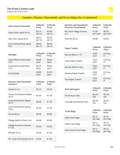

# Laundry, Plastics, Household, and Everything Else (Continued)

<span id="page-27-0"></span>

| <b>Dish Soap (Continued)</b>                    | 3 Month<br><b>Price</b> | <b>6 Month</b><br><b>Price</b> |
|-------------------------------------------------|-------------------------|--------------------------------|
| Dawn Dish Liquid 24 oz                          | \$0.10<br>per oz        | \$0.08<br>per oz               |
| Ajax Dish Liquid 28 oz                          | \$0.05<br>per oz        | \$0.04<br>per oz               |
| Gain Dishwashing Liquid<br>8 oz                 | \$0.06<br>per oz        | \$0.05<br>per oz               |
|                                                 |                         |                                |
| <b>Sponges</b>                                  | 3 Month<br><b>Price</b> | 6 Month<br><b>Price</b>        |
| Scotch-Brite Heavy Duty<br>3 CT                 | \$0.60<br>each          | \$0.50<br>each                 |
| Scotch-Brite Steel Wool<br>2 CT                 | \$0.70<br>each          | \$0.60<br>each                 |
| Srub Daddy                                      | \$3.00<br>each          | \$2.50<br>each                 |
|                                                 |                         |                                |
| <b>Kitchen and Household</b><br><b>Cleaners</b> | 3 Month<br><b>Price</b> | <b>6 Month</b><br><b>Price</b> |
| Comet 21 oz                                     | \$0.75                  | \$0.50                         |
| <b>Clorox Disinfectant Wipes</b><br>35 CT       | \$2.00                  | \$1.50                         |
| <b>Lysol Disinfectant Wipes</b><br>35 CT        | \$2.00                  | \$1.50                         |
| Lysol Disinfectant Spray,<br>32 oz              | \$2.99                  | \$1.99                         |
| Drano 80 oz                                     | \$6.00                  | \$5.00                         |
| Pledge Multi-Surface 9 oz                       | \$4.00                  | \$3.00                         |
| Pledge Furniture Cleaner<br>9.7 oz              | \$4.00                  | \$3.00                         |
| Windex 23 oz                                    | \$2.00                  | \$1.50                         |
| Mr. Clean All Purpose 40 oz                     | \$2.00                  | \$1.50                         |

| <b>Kitchen and Household</b><br><b>Cleaners (Continued)</b> | 3 Month<br><b>Price</b> | <b>6 Month</b><br><b>Price</b> |
|-------------------------------------------------------------|-------------------------|--------------------------------|
| Mr. Clean Magic Erasers<br>2 ct                             | \$1.00<br>per each      | \$0.50<br>per each             |
| Pine-Sol 40 oz                                              | \$3.00                  | \$2.00                         |
| <b>Paper Towels</b>                                         | 3 Month<br><b>Price</b> | 6 Month<br><b>Price</b>        |
| <b>Bounty Basics 1 CT</b>                                   | 0.02/<br>sq ft          | $0.01$ /sq<br>ft               |
| <b>Scott Paper Towels</b>                                   | 0.02/<br>sq ft          | $0.01$ /sq<br>ft               |
| <b>Bounty Select A Size</b>                                 | 0.02/<br>sq ft          | $0.01$ /sq<br>ft               |
| <b>Brawny Paper Towels</b>                                  | 0.02/<br>sq ft          | $0.01$ /sq<br>ft               |
| Viva Paper Towels                                           | 0.02/<br>sq ft          | $0.01$ /sq<br>ft               |
|                                                             |                         |                                |
| <b>Dish Detergent</b>                                       | 3 Month<br><b>Price</b> | <b>6 Month</b><br><b>Price</b> |
| <b>Finish Auto Tabs</b>                                     | \$0.15/<br>tab          | \$0.10/<br>tab                 |
| Cascade Dishwasher Pacs                                     | \$0.25/<br>Pac          | \$0.20/<br>Pac                 |
| <b>Trash Bags</b>                                           | 3 Month<br>Price        | հ Month<br><b>Price</b>        |
| <b>Glad Trash Bags</b>                                      | \$0.12<br>per bag       | \$0.10<br>per bag              |
| <b>Hefty Trash Bags</b>                                     | \$0.12<br>per bag       | \$0.10<br>per bag              |
| Store brand trash bags                                      | \$0.12<br>per bag       | \$0.10<br>per bag              |